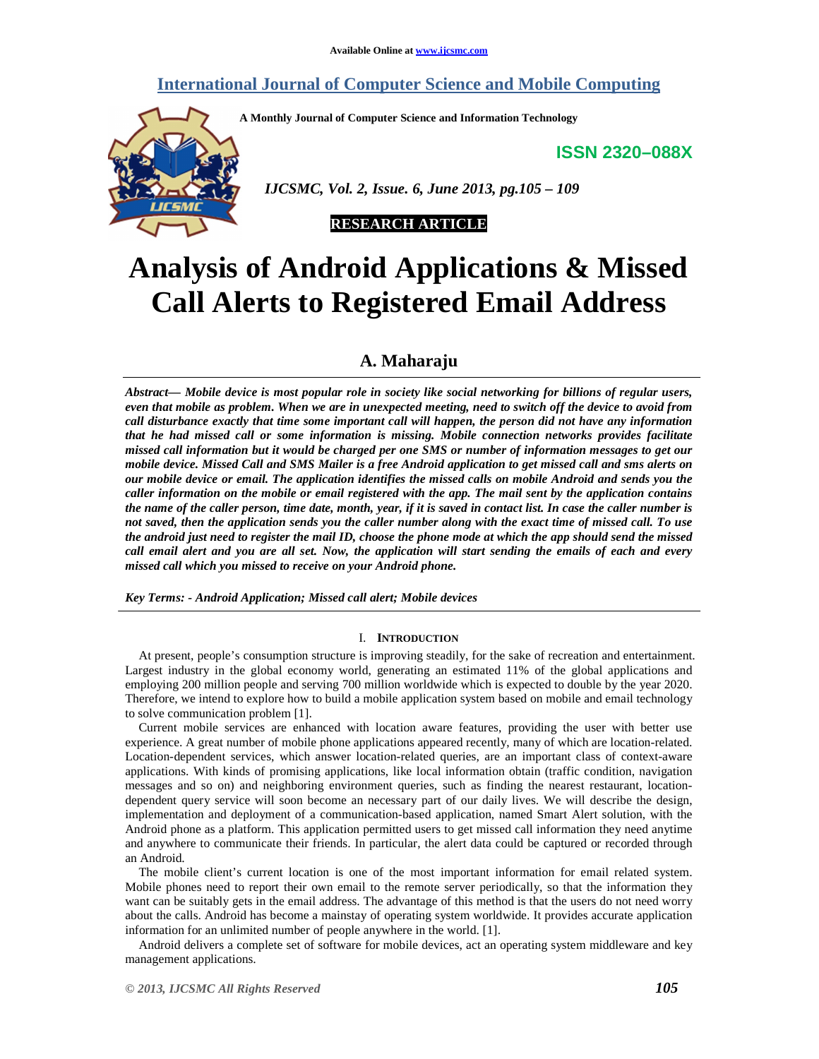## **International Journal of Computer Science and Mobile Computing**

**A Monthly Journal of Computer Science and Information Technology** 

**ISSN 2320–088X**



 *IJCSMC, Vol. 2, Issue. 6, June 2013, pg.105 – 109* 



# **Analysis of Android Applications & Missed Call Alerts to Registered Email Address**

## **A. Maharaju**

*Abstract— Mobile device is most popular role in society like social networking for billions of regular users, even that mobile as problem. When we are in unexpected meeting, need to switch off the device to avoid from call disturbance exactly that time some important call will happen, the person did not have any information that he had missed call or some information is missing. Mobile connection networks provides facilitate missed call information but it would be charged per one SMS or number of information messages to get our mobile device. Missed Call and SMS Mailer is a free Android application to get missed call and sms alerts on our mobile device or email. The application identifies the missed calls on mobile Android and sends you the caller information on the mobile or email registered with the app. The mail sent by the application contains the name of the caller person, time date, month, year, if it is saved in contact list. In case the caller number is not saved, then the application sends you the caller number along with the exact time of missed call. To use the android just need to register the mail ID, choose the phone mode at which the app should send the missed call email alert and you are all set. Now, the application will start sending the emails of each and every missed call which you missed to receive on your Android phone.* 

*Key Terms: - Android Application; Missed call alert; Mobile devices* 

#### I. **INTRODUCTION**

At present, people's consumption structure is improving steadily, for the sake of recreation and entertainment. Largest industry in the global economy world, generating an estimated 11% of the global applications and employing 200 million people and serving 700 million worldwide which is expected to double by the year 2020. Therefore, we intend to explore how to build a mobile application system based on mobile and email technology to solve communication problem [1].

Current mobile services are enhanced with location aware features, providing the user with better use experience. A great number of mobile phone applications appeared recently, many of which are location-related. Location-dependent services, which answer location-related queries, are an important class of context-aware applications. With kinds of promising applications, like local information obtain (traffic condition, navigation messages and so on) and neighboring environment queries, such as finding the nearest restaurant, locationdependent query service will soon become an necessary part of our daily lives. We will describe the design, implementation and deployment of a communication-based application, named Smart Alert solution, with the Android phone as a platform. This application permitted users to get missed call information they need anytime and anywhere to communicate their friends. In particular, the alert data could be captured or recorded through an Android.

The mobile client's current location is one of the most important information for email related system. Mobile phones need to report their own email to the remote server periodically, so that the information they want can be suitably gets in the email address. The advantage of this method is that the users do not need worry about the calls. Android has become a mainstay of operating system worldwide. It provides accurate application information for an unlimited number of people anywhere in the world. [1].

Android delivers a complete set of software for mobile devices, act an operating system middleware and key management applications.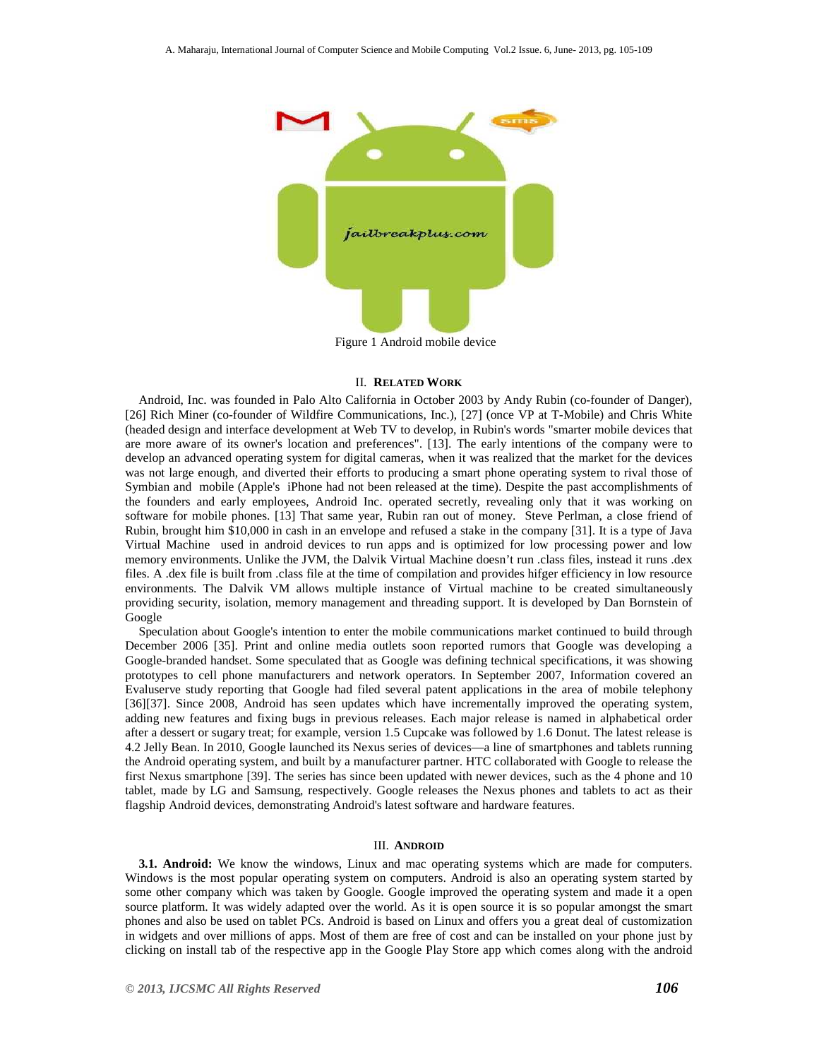

Figure 1 Android mobile device

#### II. **RELATED WORK**

Android, Inc. was founded in Palo Alto California in October 2003 by Andy Rubin (co-founder of Danger), [26] Rich Miner (co-founder of Wildfire Communications, Inc.), [27] (once VP at T-Mobile) and Chris White (headed design and interface development at Web TV to develop, in Rubin's words "smarter mobile devices that are more aware of its owner's location and preferences". [13]. The early intentions of the company were to develop an advanced operating system for digital cameras, when it was realized that the market for the devices was not large enough, and diverted their efforts to producing a smart phone operating system to rival those of Symbian and mobile (Apple's iPhone had not been released at the time). Despite the past accomplishments of the founders and early employees, Android Inc. operated secretly, revealing only that it was working on software for mobile phones. [13] That same year, Rubin ran out of money. Steve Perlman, a close friend of Rubin, brought him \$10,000 in cash in an envelope and refused a stake in the company [31]. It is a type of Java Virtual Machine used in android devices to run apps and is optimized for low processing power and low memory environments. Unlike the JVM, the Dalvik Virtual Machine doesn't run .class files, instead it runs .dex files. A .dex file is built from .class file at the time of compilation and provides hifger efficiency in low resource environments. The Dalvik VM allows multiple instance of Virtual machine to be created simultaneously providing security, isolation, memory management and threading support. It is developed by Dan Bornstein of Google

Speculation about Google's intention to enter the mobile communications market continued to build through December 2006 [35]. Print and online media outlets soon reported rumors that Google was developing a Google-branded handset. Some speculated that as Google was defining technical specifications, it was showing prototypes to cell phone manufacturers and network operators. In September 2007, Information covered an Evaluserve study reporting that Google had filed several patent applications in the area of mobile telephony [36][37]. Since 2008, Android has seen updates which have incrementally improved the operating system, adding new features and fixing bugs in previous releases. Each major release is named in alphabetical order after a dessert or sugary treat; for example, version 1.5 Cupcake was followed by 1.6 Donut. The latest release is 4.2 Jelly Bean. In 2010, Google launched its Nexus series of devices—a line of smartphones and tablets running the Android operating system, and built by a manufacturer partner. HTC collaborated with Google to release the first Nexus smartphone [39]. The series has since been updated with newer devices, such as the 4 phone and 10 tablet, made by LG and Samsung, respectively. Google releases the Nexus phones and tablets to act as their flagship Android devices, demonstrating Android's latest software and hardware features.

#### III. **ANDROID**

**3.1. Android:** We know the windows, Linux and mac operating systems which are made for computers. Windows is the most popular operating system on computers. Android is also an operating system started by some other company which was taken by Google. Google improved the operating system and made it a open source platform. It was widely adapted over the world. As it is open source it is so popular amongst the smart phones and also be used on tablet PCs. Android is based on Linux and offers you a great deal of customization in widgets and over millions of apps. Most of them are free of cost and can be installed on your phone just by clicking on install tab of the respective app in the Google Play Store app which comes along with the android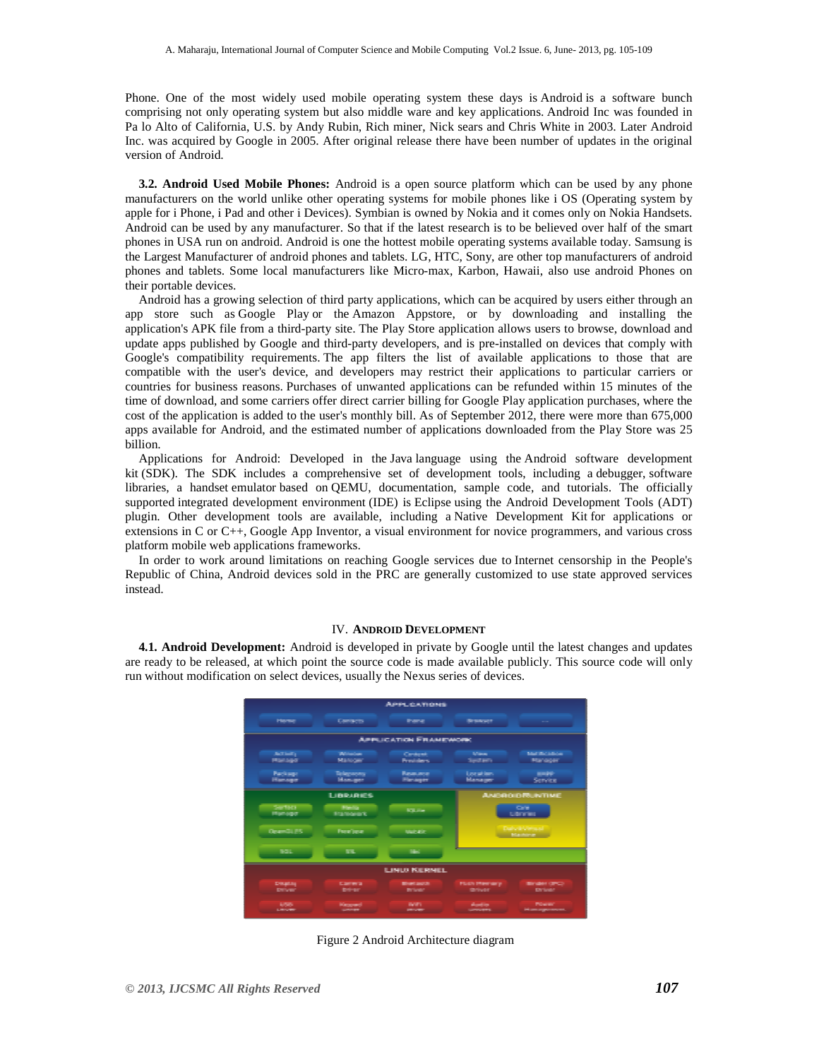Phone. One of the most widely used mobile operating system these days is Android is a software bunch comprising not only operating system but also middle ware and key applications. Android Inc was founded in Pa lo Alto of California, U.S. by Andy Rubin, Rich miner, Nick sears and Chris White in 2003. Later Android Inc. was acquired by Google in 2005. After original release there have been number of updates in the original version of Android.

**3.2. Android Used Mobile Phones:** Android is a open source platform which can be used by any phone manufacturers on the world unlike other operating systems for mobile phones like i OS (Operating system by apple for i Phone, i Pad and other i Devices). Symbian is owned by Nokia and it comes only on Nokia Handsets. Android can be used by any manufacturer. So that if the latest research is to be believed over half of the smart phones in USA run on android. Android is one the hottest mobile operating systems available today. Samsung is the Largest Manufacturer of android phones and tablets. LG, HTC, Sony, are other top manufacturers of android phones and tablets. Some local manufacturers like Micro-max, Karbon, Hawaii, also use android Phones on their portable devices.

Android has a growing selection of third party applications, which can be acquired by users either through an app store such as Google Play or the Amazon Appstore, or by downloading and installing the application's APK file from a third-party site. The Play Store application allows users to browse, download and update apps published by Google and third-party developers, and is pre-installed on devices that comply with Google's compatibility requirements. The app filters the list of available applications to those that are compatible with the user's device, and developers may restrict their applications to particular carriers or countries for business reasons. Purchases of unwanted applications can be refunded within 15 minutes of the time of download, and some carriers offer direct carrier billing for Google Play application purchases, where the cost of the application is added to the user's monthly bill. As of September 2012, there were more than 675,000 apps available for Android, and the estimated number of applications downloaded from the Play Store was 25 billion.

Applications for Android: Developed in the Java language using the Android software development kit (SDK). The SDK includes a comprehensive set of development tools, including a debugger, software libraries, a handset emulator based on QEMU, documentation, sample code, and tutorials. The officially supported integrated development environment (IDE) is Eclipse using the Android Development Tools (ADT) plugin. Other development tools are available, including a Native Development Kit for applications or extensions in C or C++, Google App Inventor, a visual environment for novice programmers, and various cross platform mobile web applications frameworks.

In order to work around limitations on reaching Google services due to Internet censorship in the People's Republic of China, Android devices sold in the PRC are generally customized to use state approved services instead.

#### IV. **ANDROID DEVELOPMENT**

**4.1. Android Development:** Android is developed in private by Google until the latest changes and updates are ready to be released, at which point the source code is made available publicly. This source code will only run without modification on select devices, usually the Nexus series of devices.



Figure 2 Android Architecture diagram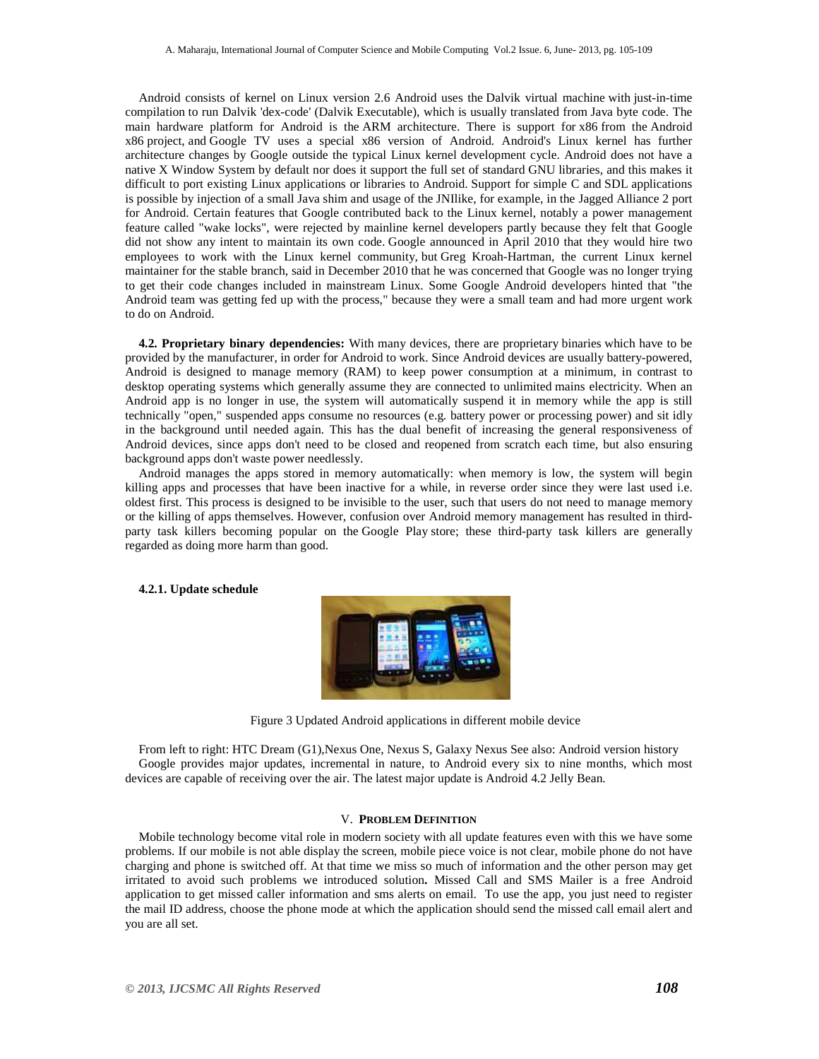Android consists of kernel on Linux version 2.6 Android uses the Dalvik virtual machine with just-in-time compilation to run Dalvik 'dex-code' (Dalvik Executable), which is usually translated from Java byte code. The main hardware platform for Android is the ARM architecture. There is support for x86 from the Android x86 project, and Google TV uses a special x86 version of Android. Android's Linux kernel has further architecture changes by Google outside the typical Linux kernel development cycle. Android does not have a native X Window System by default nor does it support the full set of standard GNU libraries, and this makes it difficult to port existing Linux applications or libraries to Android. Support for simple C and SDL applications is possible by injection of a small Java shim and usage of the JNIlike, for example, in the Jagged Alliance 2 port for Android. Certain features that Google contributed back to the Linux kernel, notably a power management feature called "wake locks", were rejected by mainline kernel developers partly because they felt that Google did not show any intent to maintain its own code. Google announced in April 2010 that they would hire two employees to work with the Linux kernel community, but Greg Kroah-Hartman, the current Linux kernel maintainer for the stable branch, said in December 2010 that he was concerned that Google was no longer trying to get their code changes included in mainstream Linux. Some Google Android developers hinted that "the Android team was getting fed up with the process," because they were a small team and had more urgent work to do on Android.

**4.2. Proprietary binary dependencies:** With many devices, there are proprietary binaries which have to be provided by the manufacturer, in order for Android to work. Since Android devices are usually battery-powered, Android is designed to manage memory (RAM) to keep power consumption at a minimum, in contrast to desktop operating systems which generally assume they are connected to unlimited mains electricity. When an Android app is no longer in use, the system will automatically suspend it in memory while the app is still technically "open," suspended apps consume no resources (e.g. battery power or processing power) and sit idly in the background until needed again. This has the dual benefit of increasing the general responsiveness of Android devices, since apps don't need to be closed and reopened from scratch each time, but also ensuring background apps don't waste power needlessly.

Android manages the apps stored in memory automatically: when memory is low, the system will begin killing apps and processes that have been inactive for a while, in reverse order since they were last used i.e. oldest first. This process is designed to be invisible to the user, such that users do not need to manage memory or the killing of apps themselves. However, confusion over Android memory management has resulted in thirdparty task killers becoming popular on the Google Play store; these third-party task killers are generally regarded as doing more harm than good.

#### **4.2.1. Update schedule**



Figure 3 Updated Android applications in different mobile device

From left to right: HTC Dream (G1),Nexus One, Nexus S, Galaxy Nexus See also: Android version history Google provides major updates, incremental in nature, to Android every six to nine months, which most devices are capable of receiving over the air. The latest major update is Android 4.2 Jelly Bean.

#### V. **PROBLEM DEFINITION**

Mobile technology become vital role in modern society with all update features even with this we have some problems. If our mobile is not able display the screen, mobile piece voice is not clear, mobile phone do not have charging and phone is switched off. At that time we miss so much of information and the other person may get irritated to avoid such problems we introduced solution**.** Missed Call and SMS Mailer is a free Android application to get missed caller information and sms alerts on email. To use the app, you just need to register the mail ID address, choose the phone mode at which the application should send the missed call email alert and you are all set.